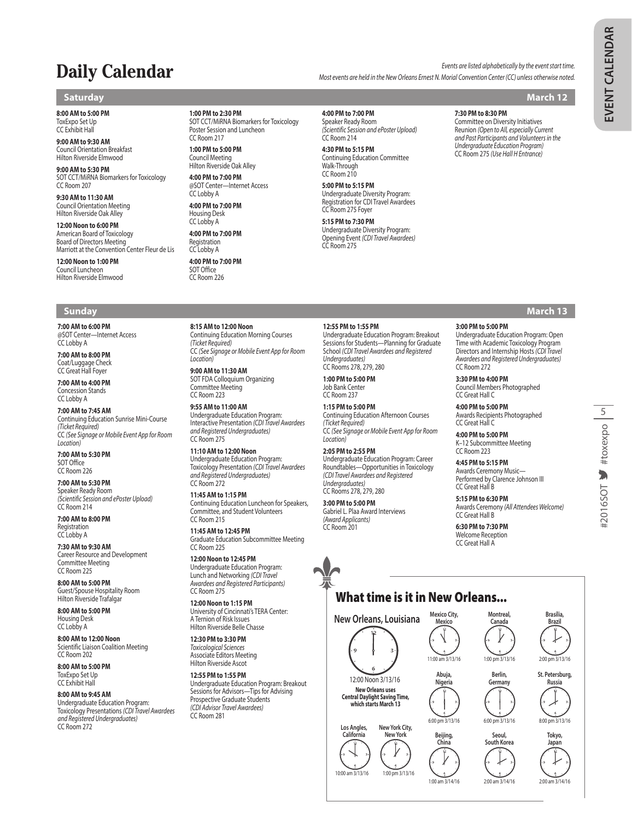# **Daily Calendar** *Events are listed alphabetically by the event start time. Most events are held in the New Orleans Ernest N. Morial Convention Center (CC) unless otherwise noted.*

# **Saturday March 12**

### **8:00 AM to 5:00 PM** ToxExpo Set Up

CC Exhibit Hall **9:00 AM to 9:30 AM**

Council Orientation Breakfast Hilton Riverside Elmwood

**9:00 AM to 5:30 PM** SOT CCT/MiRNA Biomarkers for Toxicology CC Room 207

**9:30 AM to 11:30 AM** Council Orientation Meeting Hilton Riverside Oak Alley

**12:00 Noon to 6:00 PM** American Board of Toxicology Board of Directors Meeting Marriott at the Convention Center Fleur de Lis

**12:00 Noon to 1:00 PM** Council Luncheon Hilton Riverside Elmwood

# **Sunday March 13**

**7:00 AM to 6:00 PM** @SOT Center—Internet Access CC Lobby A

**7:00 AM to 8:00 PM** Coat/Luggage Check CC Great Hall Foyer

**7:00 AM to 4:00 PM** Concession Stands CC Lobby A

**7:00 AM to 7:45 AM** Continuing Education Sunrise Mini-Course *(Ticket Required)* CC *(See Signage or Mobile Event App for Room Location)*

**7:00 AM to 5:30 PM** SOT Office CC Room 226

**7:00 AM to 5:30 PM** Speaker Ready Room *(Scientific Session and ePoster Upload)* CC Room 214

**7:00 AM to 8:00 PM** Registration CC Lobby A

**7:30 AM to 9:30 AM** Career Resource and Development Committee Meeting CC Room 225

**8:00 AM to 5:00 PM** Guest/Spouse Hospitality Room Hilton Riverside Trafalgar

**8:00 AM to 5:00 PM** Housing Desk CC Lobby A

**8:00 AM to 12:00 Noon** Scientific Liaison Coalition Meeting CC Room 202

**8:00 AM to 5:00 PM** ToxExpo Set Up CC Exhibit Hall

# **8:00 AM to 9:45 AM**

Undergraduate Education Program: Toxicology Presentations *(CDI Travel Awardees and Registered Undergraduates)* CC Room 272

**1:00 PM to 2:30 PM**

SOT CCT/MiRNA Biomarkers for Toxicology Poster Session and Luncheon CC Room 217

**1:00 PM to 5:00 PM** Council Meeting Hilton Riverside Oak Alley

**4:00 PM to 7:00 PM** @SOT Center—Internet Access CC Lobby A

**4:00 PM to 7:00 PM** Housing Desk CC Lobby A **4:00 PM to 7:00 PM**

Registration CC Lobby A

**4:00 PM to 7:00 PM** SOT Office

CC Room 226

**8:15 AM to 12:00 Noon**

*(Ticket Required)*

*Location)* **9:00 AM to 11:30 AM** SOT FDA Colloquium Organizing Committee Meeting CC Room 223 **9:55 AM to 11:00 AM** Undergraduate Education Program: Interactive Presentation *(CDI Travel Awardees and Registered Undergraduates)*

CC Room 275 **11:10 AM to 12:00 Noon** Undergraduate Education Program: Toxicology Presentation *(CDI Travel Awardees and Registered Undergraduates)*

CC Room 272 **11:45 AM to 1:15 PM**

CC Room 215 **11:45 AM to 12:45 PM**

CC Room 225 **12:00 Noon to 12:45 PM** Undergraduate Education Program: Lunch and Networking *(CDI Travel Awardees and Registered Participants)*

CC Room 275 **12:00 Noon to 1:15 PM** University of Cincinnati's TERA Center: A Ternion of Risk Issues Hilton Riverside Belle Chasse **12:30 PM to 3:30 PM** *Toxicological Sciences* Associate Editors Meeting Hilton Riverside Ascot **12:55 PM to 1:55 PM**

CC Room 281

Continuing Education Morning Courses

CC *(See Signage or Mobile Event App for Room* 

Continuing Education Luncheon for Speakers, Committee, and Student Volunteers

Graduate Education Subcommittee Meeting

Undergraduate Education Program: Breakout Sessions for Advisors—Tips for Advising Prospective Graduate Students *(CDI Advisor Travel Awardees)*

**4:00 PM to 7:00 PM**

Speaker Ready Room *(Scientific Session and ePoster Upload)* CC Room 214

**4:30 PM to 5:15 PM** Continuing Education Committee Walk-Through CC Room 210

**5:00 PM to 5:15 PM** Undergraduate Diversity Program: Registration for CDI Travel Awardees CC Room 275 Foyer

### **5:15 PM to 7:30 PM**

Undergraduate Diversity Program: Opening Event *(CDI Travel Awardees)* CC Room 275

**7:30 PM to 8:30 PM**

Committee on Diversity Initiatives Reunion *(Open to All, especially Current and Past Participants and Volunteers in the Undergraduate Education Program)* CC Room 275 *(Use Hall H Entrance)*

**3:00 PM to 5:00 PM** Undergraduate Education Program: Open Time with Academic Toxicology Program Directors and Internship Hosts *(CDI Travel Awardees and Registered Undergraduates)* CC Room 272

**3:30 PM to 4:00 PM** Council Members Photographed CC Great Hall C

**4:00 PM to 5:00 PM** Awards Recipients Photographed CC Great Hall C

**4:00 PM to 5:00 PM** K–12 Subcommittee Meeting CC Room 223

**4:45 PM to 5:15 PM** Awards Ceremony Music— Performed by Clarence Johnson III CC Great Hall B

**5:15 PM to 6:30 PM** Awards Ceremony *(All Attendees Welcome)* CC Great Hall B

**6:30 PM to 7:30 PM** Welcome Reception CC Great Hall A

What time is it in New Orleans...



5#2016SOT V #toxexpo

### Undergraduate Education Program: Breakout Sessions for Students—Planning for Graduate School *(CDI Travel Awardees and Registered*

**12:55 PM to 1:55 PM**

*Undergraduates)* CC Rooms 278, 279, 280

**1:00 PM to 5:00 PM** Job Bank Center CC Room 237

**1:15 PM to 5:00 PM** Continuing Education Afternoon Courses

*(Ticket Required)* CC *(See Signage or Mobile Event App for Room Location)*

# **2:05 PM to 2:55 PM**

Undergraduate Education Program: Career Roundtables—Opportunities in Toxicology *(CDI Travel Awardees and Registered Undergraduates)* CC Rooms 278, 279, 280

# **3:00 PM to 5:00 PM**

Gabriel L. Plaa Award Interviews *(Award Applicants)* CC Room 201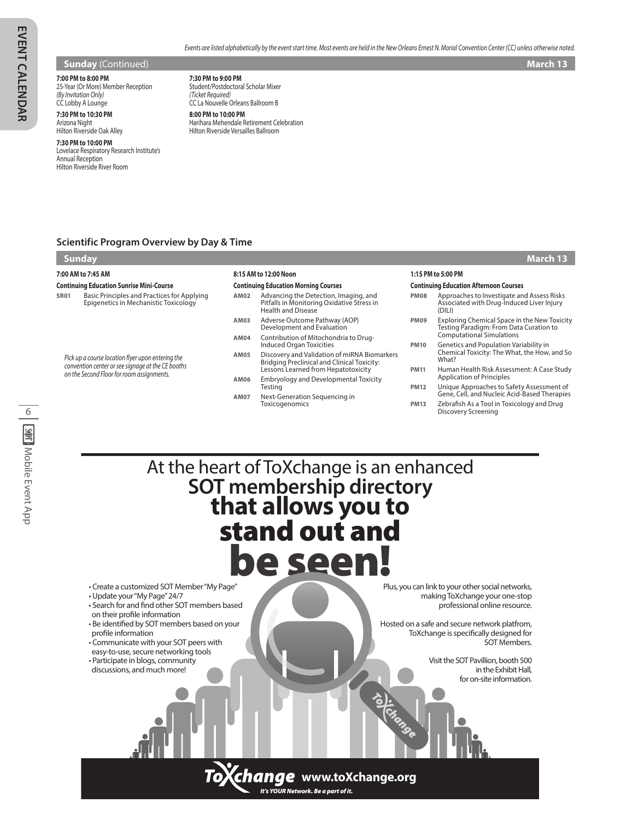**Sunday** (Continued) **March 13 March 13 March 13 March 13** 

# **7:00 PM to 8:00 PM**

25-Year (Or More) Member Reception *(By Invitation Only)* CC Lobby A Lounge

### **7:30 PM to 10:30 PM** Arizona Night Hilton Riverside Oak Alley

**7:30 PM to 10:00 PM** Lovelace Respiratory Research Institute's Annual Reception Hilton Riverside River Room

**7:30 PM to 9:00 PM** Student/Postdoctoral Scholar Mixer *(Ticket Required)* CC La Nouvelle Orleans Ballroom B

**8:00 PM to 10:00 PM** Harihara Mehendale Retirement Celebration Hilton Riverside Versailles Ballroom

**8:15 AM to 12:00 Noon**

**Continuing Education Morning Courses**

# **Scientific Program Overview by Day & Time**

# **Sunday March 13**

**7:00 AM to 7:45 AM**

# **Continuing Education Sunrise Mini-Course**

**SR01** Basic Principles and Practices for Applying Epigenetics in Mechanistic Toxicology

*Pick up a course location flyer upon entering the convention center or see signage at the CE booths on the Second Floor for room assignments.*

| AM02 | Advancing the Detection, Imaging, and<br>Pitfalls in Monitoring Oxidative Stress in<br><b>Health and Disease</b>                          |
|------|-------------------------------------------------------------------------------------------------------------------------------------------|
| AM03 | Adverse Outcome Pathway (AOP)<br>Development and Evaluation                                                                               |
| AM04 | Contribution of Mitochondria to Drug-<br><b>Induced Organ Toxicities</b>                                                                  |
| AM05 | Discovery and Validation of miRNA Biomarkers<br><b>Bridging Preclinical and Clinical Toxicity:</b><br>Lessons Learned from Hepatotoxicity |
| AM06 | <b>Embryology and Developmental Toxicity</b><br>Testing                                                                                   |
|      |                                                                                                                                           |

**AM07** Next-Generation Sequencing in Toxicogenomics

| 1. 1.3 FIVI LU .3.UU FIVI                     |                                                                                                                             |  |  |
|-----------------------------------------------|-----------------------------------------------------------------------------------------------------------------------------|--|--|
| <b>Continuing Education Afternoon Courses</b> |                                                                                                                             |  |  |
| <b>PM08</b>                                   | Approaches to Investigate and Assess Risks<br>Associated with Drug-Induced Liver Injury<br>(DILI)                           |  |  |
| <b>PM09</b>                                   | <b>Exploring Chemical Space in the New Toxicity</b><br>Testing Paradigm: From Data Curation to<br>Computational Simulations |  |  |
| <b>PM10</b>                                   | Genetics and Population Variability in<br>Chemical Toxicity: The What, the How, and So<br>What?                             |  |  |
| <b>PM11</b>                                   | Human Health Risk Assessment: A Case Study<br><b>Application of Principles</b>                                              |  |  |
| <b>PM12</b>                                   | Unique Approaches to Safety Assessment of<br>Gene, Cell, and Nucleic Acid-Based Therapies                                   |  |  |
| <b>PM13</b>                                   | Zebrafish As a Tool in Toxicology and Drug<br>Discovery Screening                                                           |  |  |

**1:15 PM to 5:00 PM**

# At the heart of ToXchange is an enhanced **SOT membership directory that allows you to** stand out and be seen!

• Create a customized SOT Member "My Page"

- Update your "My Page" 24/7
- Search for and find other SOT members based
- on their profile information
- Be identified by SOT members based on your profile information
- Communicate with your SOT peers with
- easy-to-use, secure networking tools • Participate in blogs, community
- discussions, and much more!

Plus, you can link to your other social networks, making ToXchange your one-stop professional online resource.

Hosted on a safe and secure network platfrom, ToXchange is specifically designed for SOT Members.

> Visit the SOT Pavillion, booth 500 in the Exhibit Hall, for on-site information.

*It's YOUR Network. Be a part of it.* **www.toXchange.org**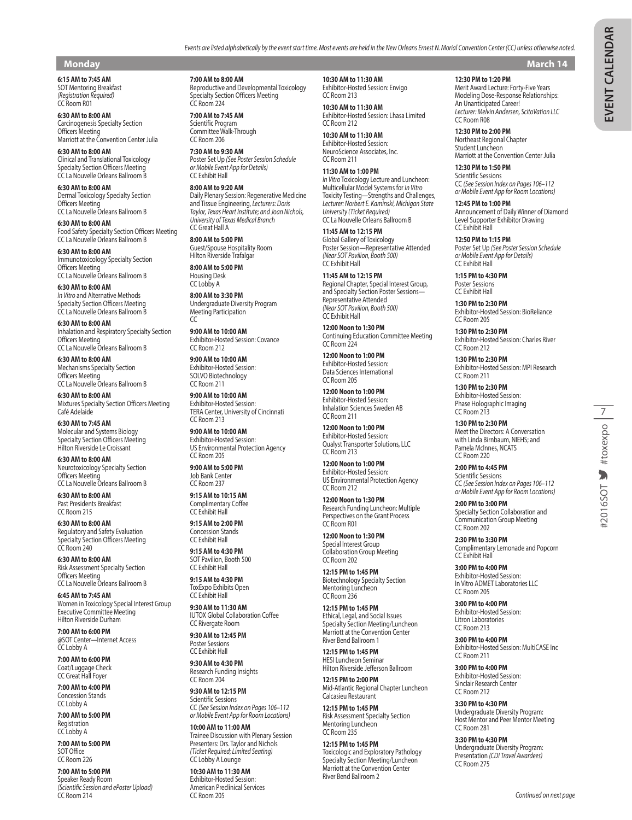# **Monday March 14**

**6:15 AM to 7:45 AM** SOT Mentoring Breakfast *(Registration Required)* CC Room R01

**6:30 AM to 8:00 AM** Carcinogenesis Specialty Section Officers Meeting Marriott at the Convention Center Julia

**6:30 AM to 8:00 AM** Clinical and Translational Toxicology Specialty Section Officers Meeting CC La Nouvelle Orleans Ballroom B

**6:30 AM to 8:00 AM** Dermal Toxicology Specialty Section Officers Meeting CC La Nouvelle Orleans Ballroom B

**6:30 AM to 8:00 AM** Food Safety Specialty Section Officers Meeting CC La Nouvelle Orleans Ballroom B

**6:30 AM to 8:00 AM** Immunotoxicology Specialty Section Officers Meeting CC La Nouvelle Orleans Ballroom B

**6:30 AM to 8:00 AM** *In Vitro* and Alternative Methods Specialty Section Officers Meeting CC La Nouvelle Orleans Ballroom B

**6:30 AM to 8:00 AM** Inhalation and Respiratory Specialty Section Officers Meeting CC La Nouvelle Orleans Ballroom B

**6:30 AM to 8:00 AM** Mechanisms Specialty Section Officers Meeting CC La Nouvelle Orleans Ballroom B

**6:30 AM to 8:00 AM** Mixtures Specialty Section Officers Meeting Café Adelaide

**6:30 AM to 7:45 AM** Molecular and Systems Biology Specialty Section Officers Meeting Hilton Riverside Le Croissant

**6:30 AM to 8:00 AM** Neurotoxicology Specialty Section Officers Meeting CC La Nouvelle Orleans Ballroom B

**6:30 AM to 8:00 AM** Past Presidents Breakfast CC Room 215

**6:30 AM to 8:00 AM** Regulatory and Safety Evaluation Specialty Section Officers Meeting CC Room 240

**6:30 AM to 8:00 AM** Risk Assessment Specialty Section Officers Meeting CC La Nouvelle Orleans Ballroom B

**6:45 AM to 7:45 AM** Women in Toxicology Special Interest Group Executive Committee Meeting Hilton Riverside Durham

**7:00 AM to 6:00 PM** @SOT Center—Internet Access CC Lobby A

**7:00 AM to 6:00 PM** Coat/Luggage Check CC Great Hall Foyer

**7:00 AM to 4:00 PM** Concession Stands CC Lobby A

**7:00 AM to 5:00 PM** Registration CC Lobby A

**7:00 AM to 5:00 PM** SOT Office CC Room 226

**7:00 AM to 5:00 PM** Speaker Ready Room *(Scientific Session and ePoster Upload)* CC Room 214

**7:00 AM to 8:00 AM** Reproductive and Developmental Toxicology Specialty Section Officers Meeting CC Room 224

**7:00 AM to 7:45 AM** Scientific Program Committee Walk-Through CC Room 206

**7:30 AM to 9:30 AM** Poster Set Up *(See Poster Session Schedule or Mobile Event App for Details)* CC Exhibit Hall

**8:00 AM to 9:20 AM** Daily Plenary Session: Regenerative Medicine and Tissue Engineering, *Lecturers: Doris Taylor, Texas Heart Institute; and Joan Nichols, University of Texas Medical Branch* CC Great Hall A

**8:00 AM to 5:00 PM** Guest/Spouse Hospitality Room Hilton Riverside Trafalgar

**8:00 AM to 5:00 PM** Housing Desk CC Lobby A

**8:00 AM to 3:30 PM** Undergraduate Diversity Program Meeting Participation CC

**9:00 AM to 10:00 AM** Exhibitor-Hosted Session: Covance CC Room 212

**9:00 AM to 10:00 AM** Exhibitor-Hosted Session: SOLVO Biotechnology CC Room 211

**9:00 AM to 10:00 AM** Exhibitor-Hosted Session: TERA Center, University of Cincinnati CC Room 213

**9:00 AM to 10:00 AM** Exhibitor-Hosted Session: US Environmental Protection Agency CC Room 205

**9:00 AM to 5:00 PM** Job Bank Center CC Room 237

**9:15 AM to 10:15 AM** Complimentary Coffee CC Exhibit Hall

**9:15 AM to 2:00 PM** Concession Stands CC Exhibit Hall

**9:15 AM to 4:30 PM** SOT Pavilion, Booth 500 CC Exhibit Hall

**9:15 AM to 4:30 PM** ToxExpo Exhibits Open CC Exhibit Hall

**9:30 AM to 11:30 AM** IUTOX Global Collaboration Coffee CC Rivergate Room

**9:30 AM to 12:45 PM** Poster Sessions CC Exhibit Hall

**9:30 AM to 4:30 PM** Research Funding Insights CC Room 204

**9:30 AM to 12:15 PM** Scientific Sessions CC *(See Session Index on Pages 106–112 or Mobile Event App for Room Locations)*

**10:00 AM to 11:00 AM** Trainee Discussion with Plenary Session Presenters: Drs. Taylor and Nichols *(Ticket Required; Limited Seating)* CC Lobby A Lounge

**10:30 AM to 11:30 AM** Exhibitor-Hosted Session: American Preclinical Services CC Room 205

**10:30 AM to 11:30 AM** Exhibitor-Hosted Session: Envigo CC Room 213

**10:30 AM to 11:30 AM** Exhibitor-Hosted Session: Lhasa Limited CC Room 212

*Events are listed alphabetically by the event start time. Most events are held in the New Orleans Ernest N. Morial Convention Center (CC) unless otherwise noted.*

**10:30 AM to 11:30 AM** Exhibitor-Hosted Session: NeuroScience Associates, Inc. CC Room 211

**11:30 AM to 1:00 PM** *In Vitro* Toxicology Lecture and Luncheon: Multicellular Model Systems for *In Vitro* Toxicity Testing—Strengths and Challenges, *Lecturer: Norbert E. Kaminski, Michigan State University (Ticket Required)* CC La Nouvelle Orleans Ballroom B

**11:45 AM to 12:15 PM** Global Gallery of Toxicology Poster Session—Representative Attended *(Near SOT Pavilion, Booth 500)* CC Exhibit Hall

**11:45 AM to 12:15 PM** Regional Chapter, Special Interest Group, and Specialty Section Poster Sessions— Representative Attended *(Near SOT Pavilion, Booth 500)* CC Exhibit Hall

**12:00 Noon to 1:30 PM** Continuing Education Committee Meeting CC Room 224

**12:00 Noon to 1:00 PM** Exhibitor-Hosted Session: Data Sciences International CC Room 205

**12:00 Noon to 1:00 PM** Exhibitor-Hosted Session: Inhalation Sciences Sweden AB CC Room 211

**12:00 Noon to 1:00 PM** Exhibitor-Hosted Session: Qualyst Transporter Solutions, LLC CC Room 213

**12:00 Noon to 1:00 PM** Exhibitor-Hosted Session: US Environmental Protection Agency CC Room 212

**12:00 Noon to 1:30 PM** Research Funding Luncheon: Multiple Perspectives on the Grant Process CC Room R01

**12:00 Noon to 1:30 PM** Special Interest Group Collaboration Group Meeting CC Room 202

**12:15 PM to 1:45 PM** Biotechnology Specialty Section Mentoring Luncheon CC Room 236

**12:15 PM to 1:45 PM** Ethical, Legal, and Social Issues Specialty Section Meeting/Luncheon Marriott at the Convention Center River Bend Ballroom 1

**12:15 PM to 1:45 PM** HESI Luncheon Seminar Hilton Riverside Jefferson Ballroom

**12:15 PM to 2:00 PM** Mid-Atlantic Regional Chapter Luncheon Calcasieu Restaurant

**12:15 PM to 1:45 PM** Risk Assessment Specialty Section Mentoring Luncheon CC Room 235

**12:15 PM to 1:45 PM** Toxicologic and Exploratory Pathology Specialty Section Meeting/Luncheon Marriott at the Convention Center River Bend Ballroom 2

**12:30 PM to 1:20 PM**

Merit Award Lecture: Forty-Five Years Modeling Dose-Response Relationships: An Unanticipated Career! *Lecturer: Melvin Andersen, ScitoVation LLC* CC Room R08

**12:30 PM to 2:00 PM** Northeast Regional Chapter Student Luncheon Marriott at the Convention Center Julia

**12:30 PM to 1:50 PM** Scientific Sessions CC *(See Session Index on Pages 106–112 or Mobile Event App for Room Locations)*

**12:45 PM to 1:00 PM** Announcement of Daily Winner of Diamond Level Supporter Exhibitor Drawing CC Exhibit Hall

**12:50 PM to 1:15 PM** Poster Set Up *(See Poster Session Schedule or Mobile Event App for Details)* CC Exhibit Hall

**1:15 PM to 4:30 PM** Poster Sessions CC Exhibit Hall

**1:30 PM to 2:30 PM** Exhibitor-Hosted Session: BioReliance CC Room 205

**1:30 PM to 2:30 PM** Exhibitor-Hosted Session: Charles River CC Room 212

**1:30 PM to 2:30 PM** Exhibitor-Hosted Session: MPI Research CC Room 211

**1:30 PM to 2:30 PM** Exhibitor-Hosted Session: Phase Holographic Imaging CC Room 213

**1:30 PM to 2:30 PM** Meet the Directors: A Conversation with Linda Birnbaum, NIEHS; and Pamela McInnes, NCATS CC Room 220

**2:00 PM to 4:45 PM** Scientific Sessions CC *(See Session Index on Pages 106–112 or Mobile Event App for Room Locations)*

**2:00 PM to 3:00 PM** Specialty Section Collaboration and Communication Group Meeting CC Room 202

**2:30 PM to 3:30 PM** Complimentary Lemonade and Popcorn CC Exhibit Hall

**3:00 PM to 4:00 PM** Exhibitor-Hosted Session: In Vitro ADMET Laboratories LLC CC Room 205

**3:00 PM to 4:00 PM** Exhibitor-Hosted Session: Litron Laboratories CC Room 213

**3:00 PM to 4:00 PM** Exhibitor-Hosted Session: MultiCASE Inc CC Room 211

**3:00 PM to 4:00 PM** Exhibitor-Hosted Session: Sinclair Research Center CC Room 212

**3:30 PM to 4:30 PM** Undergraduate Diversity Program: Host Mentor and Peer Mentor Meeting CC Room 281

**3:30 PM to 4:30 PM** Undergraduate Diversity Program: Presentation *(CDI Travel Awardees)* CC Room 275

7

#2016SOT V #toxexpo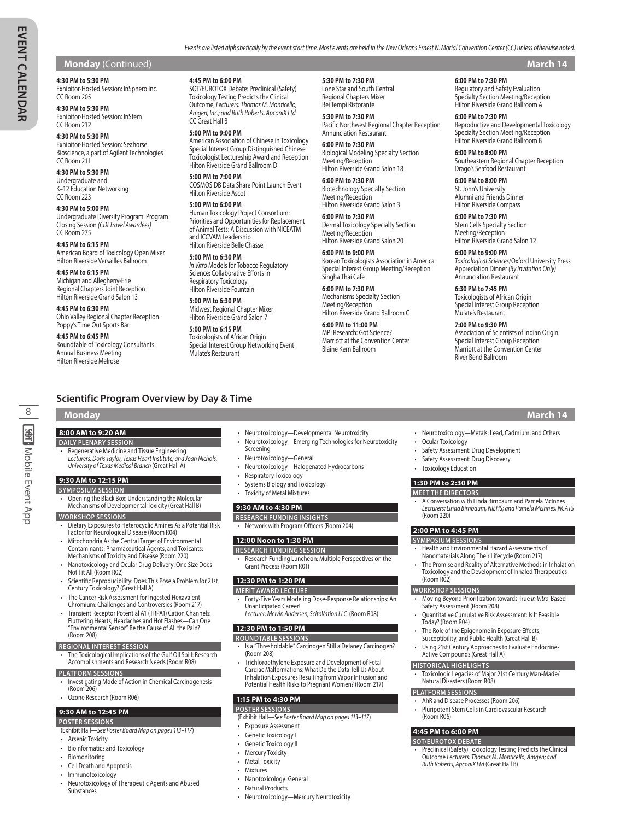# **Monday** (Continued) **March 14**

### **4:30 PM to 5:30 PM**

Exhibitor-Hosted Session: InSphero Inc. CC Room 205 **4:30 PM to 5:30 PM**

Exhibitor-Hosted Session: InStem CC Room 212

**4:30 PM to 5:30 PM** Exhibitor-Hosted Session: Seahorse Bioscience, a part of Agilent Technologies CC Room 211

**4:30 PM to 5:30 PM** Undergraduate and K–12 Education Networking CC Room 223

**4:30 PM to 5:00 PM** Undergraduate Diversity Program: Program Closing Session *(CDI Travel Awardees)* CC Room 275

**4:45 PM to 6:15 PM** American Board of Toxicology Open Mixer Hilton Riverside Versailles Ballroom

**4:45 PM to 6:15 PM** Michigan and Allegheny-Erie Regional Chapters Joint Reception Hilton Riverside Grand Salon 13

**4:45 PM to 6:30 PM** Ohio Valley Regional Chapter Reception Poppy's Time Out Sports Bar

**4:45 PM to 6:45 PM** Roundtable of Toxicology Consultants Annual Business Meeting Hilton Riverside Melrose

### **4:45 PM to 6:00 PM**

SOT/EUROTOX Debate: Preclinical (Safety) Toxicology Testing Predicts the Clinical Outcome, *Lecturers: Thomas M. Monticello, Amgen, Inc.; and Ruth Roberts, ApconiX Ltd* CC Great Hall B

**5:00 PM to 9:00 PM** American Association of Chinese in Toxicology Special Interest Group Distinguished Chinese Toxicologist Lectureship Award and Reception Hilton Riverside Grand Ballroom D

**5:00 PM to 7:00 PM** COSMOS DB Data Share Point Launch Event Hilton Riverside Ascot

### **5:00 PM to 6:00 PM** Human Toxicology Project Consortium: Priorities and Opportunities for Replacement of Animal Tests: A Discussion with NICEATM and ICCVAM Leadership Hilton Riverside Belle Chasse

**5:00 PM to 6:30 PM** *In Vitro* Models for Tobacco Regulatory Science: Collaborative Efforts in Respiratory Toxicology Hilton Riverside Fountain

**5:00 PM to 6:30 PM** Midwest Regional Chapter Mixer Hilton Riverside Grand Salon 7

**5:00 PM to 6:15 PM** Toxicologists of African Origin Special Interest Group Networking Event Mulate's Restaurant

**5:30 PM to 7:30 PM** Lone Star and South Central Regional Chapters Mixer

Bei Tempi Ristorante **5:30 PM to 7:30 PM** Pacific Northwest Regional Chapter Reception Annunciation Restaurant

*Events are listed alphabetically by the event start time. Most events are held in the New Orleans Ernest N. Morial Convention Center (CC) unless otherwise noted.*

**6:00 PM to 7:30 PM** Biological Modeling Specialty Section Meeting/Reception Hilton Riverside Grand Salon 18

**6:00 PM to 7:30 PM** Biotechnology Specialty Section Meeting/Reception Hilton Riverside Grand Salon 3

**6:00 PM to 7:30 PM** Dermal Toxicology Specialty Section Meeting/Reception Hilton Riverside Grand Salon 20

**6:00 PM to 9:00 PM** Korean Toxicologists Association in America Special Interest Group Meeting/Reception Singha Thai Cafe

**6:00 PM to 7:30 PM** Mechanisms Specialty Section Meeting/Reception Hilton Riverside Grand Ballroom C

**6:00 PM to 11:00 PM** MPI Research: Got Science? Marriott at the Convention Center Blaine Kern Ballroom

**6:00 PM to 7:30 PM** Regulatory and Safety Evaluation Specialty Section Meeting/Reception Hilton Riverside Grand Ballroom A

**6:00 PM to 7:30 PM** Reproductive and Developmental Toxicology Specialty Section Meeting/Reception Hilton Riverside Grand Ballroom B

**6:00 PM to 8:00 PM** Southeastern Regional Chapter Reception Drago's Seafood Restaurant

**6:00 PM to 8:00 PM** St. John's University Alumni and Friends Dinner Hilton Riverside Compass

**6:00 PM to 7:30 PM** Stem Cells Specialty Section Meeting/Reception Hilton Riverside Grand Salon 12

**6:00 PM to 9:00 PM** *Toxicological Sciences*/Oxford University Press Appreciation Dinner *(By Invitation Only)* Annunciation Restaurant

**6:30 PM to 7:45 PM** Toxicologists of African Origin Special Interest Group Reception Mulate's Restaurant

**7:00 PM to 9:30 PM** Association of Scientists of Indian Origin Special Interest Group Reception Marriott at the Convention Center River Bend Ballroom

# **Scientific Program Overview by Day & Time**

# **Monday March 14**

8

**SWT: Mobile Event App** 

# **8:00 AM to 9:20 AM**

- **DAILY PLENARY SESSION**
- Regenerative Medicine and Tissue Engineering *Lecturers: Doris Taylor, Texas Heart Institute; and Joan Nichols, University of Texas Medical Branch* (Great Hall A)

### **9:30 AM to 12:15 PM**

- **SYMPOSIUM SESSION**
- Opening the Black Box: Understanding the Molecular Mechanisms of Developmental Toxicity (Great Hall B)

### **WORKSHOP SESSIONS**

• Dietary Exposures to Heterocyclic Amines As a Potential Risk Factor for Neurological Disease (Room R04)

### • Mitochondria As the Central Target of Environmental Contaminants, Pharmaceutical Agents, and Toxicants: Mechanisms of Toxicity and Disease (Room 220)

- Nanotoxicology and Ocular Drug Delivery: One Size Does Not Fit All (Room R02)
- Scientific Reproducibility: Does This Pose a Problem for 21st Century Toxicology? (Great Hall A)
- The Cancer Risk Assessment for Ingested Hexavalent Chromium: Challenges and Controversies (Room 217)
- Transient Receptor Potential A1 (TRPA1) Cation Channels: Fluttering Hearts, Headaches and Hot Flashes—Can One "Environmental Sensor" Be the Cause of All the Pain?
- (Room 208)

# **REGIONAL INTEREST SESSION**

• The Toxicological Implications of the Gulf Oil Spill: Research Accomplishments and Research Needs (Room R08)

# **PLATFORM SESSIONS**

- Investigating Mode of Action in Chemical Carcinogenesis (Room 206)
- Ozone Research (Room R06)

### **9:30 AM to 12:45 PM**

- **POSTER SESSIONS** (Exhibit Hall—*See Poster Board Map on pages 113–117*)
- Arsenic Toxicity
- Bioinformatics and Toxicology
- **Biomonitoring**
- Cell Death and Apoptosis
- Immunotoxicology
- Neurotoxicology of Therapeutic Agents and Abused Substances
- Neurotoxicology—Developmental Neurotoxicity
- Neurotoxicology—Emerging Technologies for Neurotoxicity Screening
- Neurotoxicology—General
- Neurotoxicology—Halogenated Hydrocarbons
- Respiratory Toxicology
- Systems Biology and Toxicology
- Toxicity of Metal Mixtures

### **9:30 AM to 4:30 PM**

- **RESEARCH FUNDING INSIGHTS**
- Network with Program Officers (Room 204)

### **12:00 Noon to 1:30 PM**

- **RESEARCH FUNDING SESSION**
- Research Funding Luncheon: Multiple Perspectives on the Grant Process (Room R01)

### **12:30 PM to 1:20 PM**

- **MERIT AWARD LECTURE** *•* Forty-Five Years Modeling Dose-Response Relationships: An Unanticipated Career!
	- *Lecturer: Melvin Andersen, ScitoVation LLC* (Room R08)

### **12:30 PM to 1:50 PM**

- **ROUNDTABLE SESSIONS** • Is a "Thresholdable" Carcinogen Still a Delaney Carcinogen? (Room 208)
- Trichloroethylene Exposure and Development of Fetal Cardiac Malformations: What Do the Data Tell Us About Inhalation Exposures Resulting from Vapor Intrusion and Potential Health Risks to Pregnant Women? (Room 217)

# **1:15 PM to 4:30 PM**

- **POSTER SESSIONS** (Exhibit Hall—*See Poster Board Map on pages 113–117*)
- Exposure Assessment
- Genetic Toxicology I
- Genetic Toxicology II
- **Mercury Toxicity**
- **Metal Toxicity**
- Mixtures
- Nanotoxicology: General
- Natural Products
- Neurotoxicology—Mercury Neurotoxicity

• Neurotoxicology—Metals: Lead, Cadmium, and Others

• A Conversation with Linda Birnbaum and Pamela McInnes *Lecturers: Linda Birnbaum, NIEHS; and Pamela McInnes, NCATS*

• Health and Environmental Hazard Assessments of Nanomaterials Along Their Lifecycle (Room 217) • The Promise and Reality of Alternative Methods in Inhalation Toxicology and the Development of Inhaled Therapeutics

• Moving Beyond Prioritization towards True *In Vitro*-Based

• Quantitative Cumulative Risk Assessment: Is It Feasible

• Toxicologic Legacies of Major 21st Century Man-Made/

• Preclinical (Safety) Toxicology Testing Predicts the Clinical Outcome *Lecturers: Thomas M. Monticello, Amgen; and* 

• The Role of the Epigenome in Exposure Effects, Susceptibility, and Public Health (Great Hall B) Using 21st Century Approaches to Evaluate Endocrine-

• Ocular Toxicology

**1:30 PM to 2:30 PM MEET THE DIRECTORS**

(Room 220) **2:00 PM to 4:45 PM SYMPOSIUM SESSIONS**

(Room R02) **WORKSHOP SESSIONS**

(Room R06) **4:45 PM to 6:00 PM SOT/EUROTOX DEBATE**

Safety Assessment (Room 208)

Active Compounds (Great Hall A) **HISTORICAL HIGHLIGHTS** 

Natural Disasters (Room R08) **PLATFORM SESSIONS**

• AhR and Disease Processes (Room 206) • Pluripotent Stem Cells in Cardiovascular Research

*Ruth Roberts, ApconiX Ltd* (Great Hall B)

Today? (Room R04)

- Safety Assessment: Drug Development
- Safety Assessment: Drug Discovery • Toxicology Education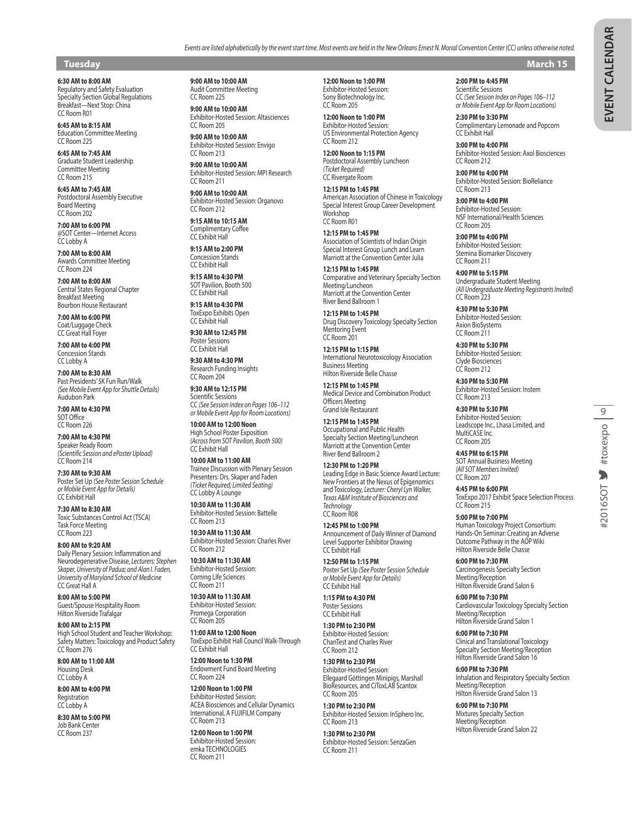# **Tuesday March 15**

**6:30 AM to 8:00 AM**

Regulatory and Safety Evaluation Specialty Section Global Regulations Breakfast—Next Stop: China CC Room R01

**6:45 AM to 8:15 AM** Education Committee Meeting CC Room 225

**6:45 AM to 7:45 AM** Graduate Student Leadership Committee Meeting CC Room 215

**6:45 AM to 7:45 AM** Postdoctoral Assembly Executive Board Meeting CC Room 202

**7:00 AM to 6:00 PM** @SOT Center—Internet Access CC Lobby A

**7:00 AM to 8:00 AM** Awards Committee Meeting CC Room 224

**7:00 AM to 8:00 AM** Central States Regional Chapter Breakfast Meeting Bourbon House Restaurant

**7:00 AM to 6:00 PM** Coat/Luggage Check CC Great Hall Foyer

**7:00 AM to 4:00 PM** Concession Stands CC Lobby A

**7:00 AM to 8:30 AM** Past Presidents' 5K Fun Run/Walk *(See Mobile Event App for Shuttle Details)* Audubon Park

**7:00 AM to 4:30 PM** SOT Office CC Room 226

**7:00 AM to 4:30 PM** Speaker Ready Room *(Scientific Session and ePoster Upload)* CC Room 214

**7:30 AM to 9:30 AM** Poster Set Up *(See Poster Session Schedule or Mobile Event App for Details)* CC Exhibit Hall

**7:30 AM to 8:30 AM** Toxic Substances Control Act (TSCA) Task Force Meeting CC Room 223

**8:00 AM to 9:20 AM** Daily Plenary Session: Inflammation and Neurodegenerative Disease, *Lecturers: Stephen Skaper, University of Padua; and Alan I. Faden, University of Maryland School of Medicine* CC Great Hall A

**8:00 AM to 5:00 PM** Guest/Spouse Hospitality Room Hilton Riverside Trafalgar

**8:00 AM to 2:15 PM** High School Student and Teacher Workshop: Safety Matters: Toxicology and Product Safety CC Room 276

**8:00 AM to 11:00 AM** Housing Desk CC Lobby A

**8:00 AM to 4:00 PM** Registration CC Lobby A

**8:30 AM to 5:00 PM** Job Bank Center CC Room 237

**9:00 AM to 10:00 AM** Audit Committee Meeting CC Room 225

**9:00 AM to 10:00 AM** Exhibitor-Hosted Session: Altasciences CC Room 205

**9:00 AM to 10:00 AM** Exhibitor-Hosted Session: Envigo CC Room 213

**9:00 AM to 10:00 AM** Exhibitor-Hosted Session: MPI Research CC Room 211

**9:00 AM to 10:00 AM** Exhibitor-Hosted Session: Organovo CC Room 212 **9:15 AM to 10:15 AM**

Complimentary Coffee CC Exhibit Hall

**9:15 AM to 2:00 PM** Concession Stands CC Exhibit Hall

**9:15 AM to 4:30 PM** SOT Pavilion, Booth 500 CC Exhibit Hall

**9:15 AM to 4:30 PM** ToxExpo Exhibits Open CC Exhibit Hall

**9:30 AM to 12:45 PM** Poster Sessions CC Exhibit Hall

**9:30 AM to 4:30 PM** Research Funding Insights CC Room 204

**9:30 AM to 12:15 PM** Scientific Sessions CC *(See Session Index on Pages 106–112 or Mobile Event App for Room Locations)*

**10:00 AM to 12:00 Noon** High School Poster Exposition *(Across from SOT Pavilion, Booth 500)* CC Exhibit Hall

**10:00 AM to 11:00 AM** Trainee Discussion with Plenary Session Presenters: Drs. Skaper and Faden *(Ticket Required; Limited Seating)* CC Lobby A Lounge

**10:30 AM to 11:30 AM** Exhibitor-Hosted Session: Battelle CC Room 213 **10:30 AM to 11:30 AM**

Exhibitor-Hosted Session: Charles River CC Room 212

**10:30 AM to 11:30 AM** Exhibitor-Hosted Session: Corning Life Sciences CC Room 211

**10:30 AM to 11:30 AM** Exhibitor-Hosted Session: Promega Corporation CC Room 205

**11:00 AM to 12:00 Noon** ToxExpo Exhibit Hall Council Walk-Through CC Exhibit Hall

**12:00 Noon to 1:30 PM** Endowment Fund Board Meeting CC Room 224

**12:00 Noon to 1:00 PM** Exhibitor-Hosted Session: ACEA Biosciences and Cellular Dynamics International, A FUJIFILM Company CC Room 213

**12:00 Noon to 1:00 PM** Exhibitor-Hosted Session: emka TECHNOLOGIES CC Room 211

**12:00 Noon to 1:00 PM** Exhibitor-Hosted Session: Sony Biotechnology Inc. CC Room 205

**12:00 Noon to 1:00 PM** Exhibitor-Hosted Session: US Environmental Protection Agency CC Room 212

**12:00 Noon to 1:15 PM** Postdoctoral Assembly Luncheon *(Ticket Required)* CC Rivergate Room

**12:15 PM to 1:45 PM** American Association of Chinese in Toxicology Special Interest Group Career Development Workshop CC Room R01

**12:15 PM to 1:45 PM** Association of Scientists of Indian Origin Special Interest Group Lunch and Learn Marriott at the Convention Center Julia

**12:15 PM to 1:45 PM** Comparative and Veterinary Specialty Section Meeting/Luncheon Marriott at the Convention Center River Bend Ballroom 1

**12:15 PM to 1:45 PM** Drug Discovery Toxicology Specialty Section Mentoring Event CC Room 201

**12:15 PM to 1:15 PM** International Neurotoxicology Association Business Meeting Hilton Riverside Belle Chasse

**12:15 PM to 1:45 PM** Medical Device and Combination Product Officers Meeting Grand Isle Restaurant

**12:15 PM to 1:45 PM** Occupational and Public Health Specialty Section Meeting/Luncheon Marriott at the Convention Center River Bend Ballroom 2

**12:30 PM to 1:20 PM** Leading Edge in Basic Science Award Lecture: New Frontiers at the Nexus of Epigenomics and Toxicology, *Lecturer: Cheryl Lyn Walker, Texas A&M Institute of Biosciences and Technology* CC Room R08

**12:45 PM to 1:00 PM** Announcement of Daily Winner of Diamond Level Supporter Exhibitor Drawing CC Exhibit Hall

**12:50 PM to 1:15 PM** Poster Set Up *(See Poster Session Schedule or Mobile Event App for Details)* CC Exhibit Hall

**1:15 PM to 4:30 PM** Poster Sessions CC Exhibit Hall

**1:30 PM to 2:30 PM** Exhibitor-Hosted Session: ChanTest and Charles River CC Room 212

**1:30 PM to 2:30 PM** Exhibitor-Hosted Session: Ellegaard Göttingen Minipigs, Marshall BioResources, and CiToxLAB Scantox CC Room 205

**1:30 PM to 2:30 PM** Exhibitor-Hosted Session: InSphero Inc. CC Room 213

**1:30 PM to 2:30 PM** Exhibitor-Hosted Session: SenzaGen CC Room 211

# **2:00 PM to 4:45 PM**

Scientific Sessions CC *(See Session Index on Pages 106–112 or Mobile Event App for Room Locations)*

**2:30 PM to 3:30 PM** Complimentary Lemonade and Popcorn CC Exhibit Hall

**3:00 PM to 4:00 PM** Exhibitor-Hosted Session: Axol Biosciences CC Room 212

**3:00 PM to 4:00 PM** Exhibitor-Hosted Session: BioReliance CC Room 213

**3:00 PM to 4:00 PM** Exhibitor-Hosted Session: NSF International/Health Sciences CC Room 205

**3:00 PM to 4:00 PM** Exhibitor-Hosted Session: Stemina Biomarker Discovery CC Room 211

**4:00 PM to 5:15 PM** Undergraduate Student Meeting *(All Undergraduate Meeting Registrants Invited)* CC Room 223

**4:30 PM to 5:30 PM** Exhibitor-Hosted Session: Axion BioSystems CC Room 211

**4:30 PM to 5:30 PM** Exhibitor-Hosted Session: Clyde Biosciences CC Room 212

**4:30 PM to 5:30 PM** Exhibitor-Hosted Session: Instem CC Room 213

**4:30 PM to 5:30 PM** Exhibitor-Hosted Session: Leadscope Inc., Lhasa Limited, and MultiCASE Inc. CC Room 205

**4:45 PM to 6:15 PM** SOT Annual Business Meeting *(All SOT Members Invited)* CC Room 207

ToxExpo 2017 Exhibit Space Selection Process CC Room 215

**5:00 PM to 7:00 PM** Human Toxicology Project Consortium: Hands-On Seminar: Creating an Adverse Outcome Pathway in the AOP Wiki Hilton Riverside Belle Chasse

**6:00 PM to 7:30 PM** Carcinogenesis Specialty Section Meeting/Reception Hilton Riverside Grand Salon 6

Cardiovascular Toxicology Specialty Section Meeting/Reception Hilton Riverside Grand Salon 1

Clinical and Translational Toxicology Specialty Section Meeting/Reception Hilton Riverside Grand Salon 16

**6:00 PM to 7:30 PM** Inhalation and Respiratory Specialty Section Meeting/Reception Hilton Riverside Grand Salon 13

**6:00 PM to 7:30 PM** Mixtures Specialty Section Meeting/Reception Hilton Riverside Grand Salon 22 #2016SOT \*toxexpo | 9

**4:45 PM to 6:00 PM**

**6:00 PM to 7:30 PM**

**6:00 PM to 7:30 PM**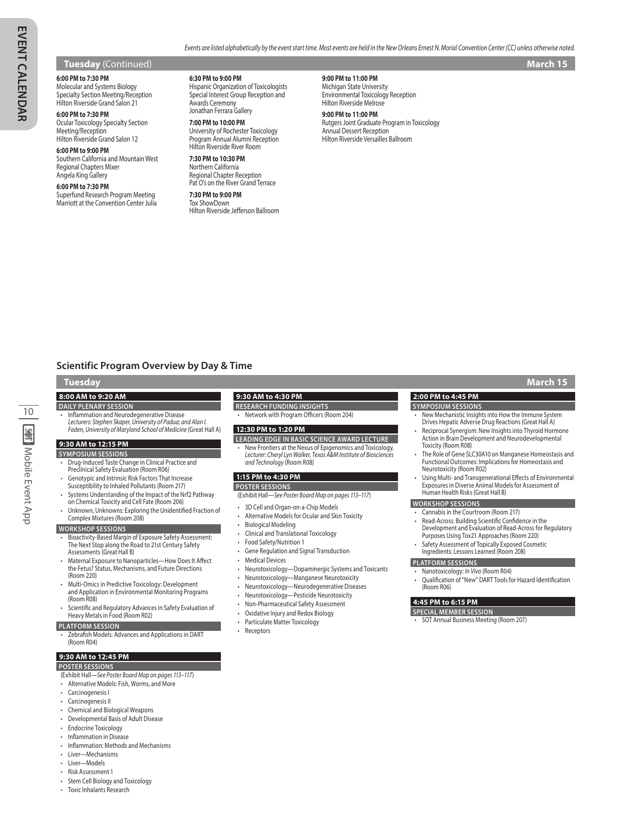*Events are listed alphabetically by the event start time. Most events are held in the New Orleans Ernest N. Morial Convention Center (CC) unless otherwise noted.*

### **Tuesday** (Continued) **March 15**

### **6:00 PM to 7:30 PM**

Molecular and Systems Biology Specialty Section Meeting/Reception Hilton Riverside Grand Salon 21

**6:00 PM to 7:30 PM** Ocular Toxicology Specialty Section Meeting/Reception

Hilton Riverside Grand Salon 12 **6:00 PM to 9:00 PM**

Southern California and Mountain West Regional Chapters Mixer Angela King Gallery

### **6:00 PM to 7:30 PM**

Superfund Research Program Meeting Marriott at the Convention Center Julia **6:30 PM to 9:00 PM**

Hispanic Organization of Toxicologists Special Interest Group Reception and Awards Ceremony Jonathan Ferrara Gallery

### **7:00 PM to 10:00 PM** University of Rochester Toxicology Program Annual Alumni Reception Hilton Riverside River Room

**7:30 PM to 10:30 PM** Northern California Regional Chapter Reception Pat O's on the River Grand Terrace

**7:30 PM to 9:00 PM** Tox ShowDown Hilton Riverside Jefferson Ballroom

**9:00 PM to 11:00 PM** Michigan State University Environmental Toxicology Reception Hilton Riverside Melrose

### **9:00 PM to 11:00 PM**

Rutgers Joint Graduate Program in Toxicology Annual Dessert Reception Hilton Riverside Versailles Ballroom

# **Scientific Program Overview by Day & Time**

# **Tuesday March 15**

10

**SMT: Mobile Event App** 

### **8:00 AM to 9:20 AM**

- **DAILY PLENARY SESSION** • Inflammation and Neurodegenerative Disease
- *Lecturers: Stephen Skaper, University of Padua; and Alan I. Faden, University of Maryland School of Medicine* (Great Hall A)

# **9:30 AM to 12:15 PM**

- **SYMPOSIUM SESSIONS** • Drug-Induced Taste Change in Clinical Practice and Preclinical Safety Evaluation (Room R06)
- Genotypic and Intrinsic Risk Factors That Increase
- Susceptibility to Inhaled Pollutants (Room 217)
- Systems Understanding of the Impact of the Nrf2 Pathway
- on Chemical Toxicity and Cell Fate (Room 206)
- Unknown, Unknowns: Exploring the Unidentified Fraction of Complex Mixtures (Room 208) **WORKSHOP SESSIONS**

# • Bioactivity-Based Margin of Exposure Safety Assessment: The Next Stop along the Road to 21st Century Safety Assessments (Great Hall B)

- Maternal Exposure to Nanoparticles—How Does It Affect the Fetus? Status, Mechanisms, and Future Directions (Room 220)
- Multi-Omics in Predictive Toxicology: Development and Application in Environmental Monitoring Programs (Room R08)
- Scientific and Regulatory Advances in Safety Evaluation of Heavy Metals in Food (Room R02)

### **PLATFORM SESSION**

• Zebrafish Models: Advances and Applications in DART (Room R04)

### **9:30 AM to 12:45 PM**

### **POSTER SESSIONS**

- (Exhibit Hall—*See Poster Board Map on pages 113–117*)
- Alternative Models: Fish, Worms, and More
- Carcinogenesis I
- Carcinogenesis II
- Chemical and Biological Weapons
- Developmental Basis of Adult Disease
- Endocrine Toxicology
- Inflammation in Disease
- Inflammation: Methods and Mechanisms
- Liver—Mechanisms
- Liver—Models

### • Risk Assessment 1

- Stem Cell Biology and Toxicology
- Toxic Inhalants Research

# **9:30 AM to 4:30 PM**

- **RESEARCH FUNDING INSIGHTS**
- Network with Program Officers (Room 204)

### **12:30 PM to 1:20 PM**

- **LEADING EDGE IN BASIC SCIENCE AWARD LECTURE**
- *•* New Frontiers at the Nexus of Epigenomics and Toxicology, *Lecturer: Cheryl Lyn Walker, Texas A&M Institute of Biosciences and Technology* (Room R08)

# **1:15 PM to 4:30 PM**

### **POSTER SESSIONS**

(Exhibit Hall—*See Poster Board Map on pages 113–117*)

- 
- 3D Cell and Organ-on-a-Chip Models • Alternative Models for Ocular and Skin Toxicity
- Biological Modeling
- Clinical and Translational Toxicology
- Food Safety/Nutrition 1
- Gene Regulation and Signal Transduction
- **Medical Devices**
- Neurotoxicology—Dopaminergic Systems and Toxicants
- 
- Neurotoxicology—Manganese Neurotoxicity • Neurotoxicology—Neurodegenerative Diseases
- Neurotoxicology—Pesticide Neurotoxicity
- Non-Pharmaceutical Safety Assessment
- Oxidative Injury and Redox Biology
- Particulate Matter Toxicology

# **Receptors**

# **SYMPOSIUM SESSIONS**

- New Mechanistic Insights into How the Immune System Drives Hepatic Adverse Drug Reactions (Great Hall A)
- Reciprocal Synergism: New Insights into Thyroid Hormone Action in Brain Development and Neurodevelopmental Toxicity (Room R08)
- The Role of Gene SLC30A10 on Manganese Homeostasis and Functional Outcomes: Implications for Homeostasis and Neurotoxicity (Room R02)
- Using Multi- and Transgenerational Effects of Environmental Exposures in Diverse Animal Models for Assessment of Human Health Risks (Great Hall B)

### **WORKSHOP SESSIONS**

- Cannabis in the Courtroom (Room 217)
- Read-Across: Building Scientific Confidence in the Development and Evaluation of Read-Across for Regulatory
- Purposes Using Tox21 Approaches (Room 220)
- Safety Assessment of Topically Exposed Cosmetic Ingredients: Lessons Learned (Room 208)

# **PLATFORM SESSIONS**

- Nanotoxicology: *In Vivo* (Room R04)
- Qualification of "New" DART Tools for Hazard Identification (Room R06)

### **4:45 PM to 6:15 PM**

- **SPECIAL MEMBER SESSION**
- SOT Annual Business Meeting (Room 207)

**2:00 PM to 4:45 PM**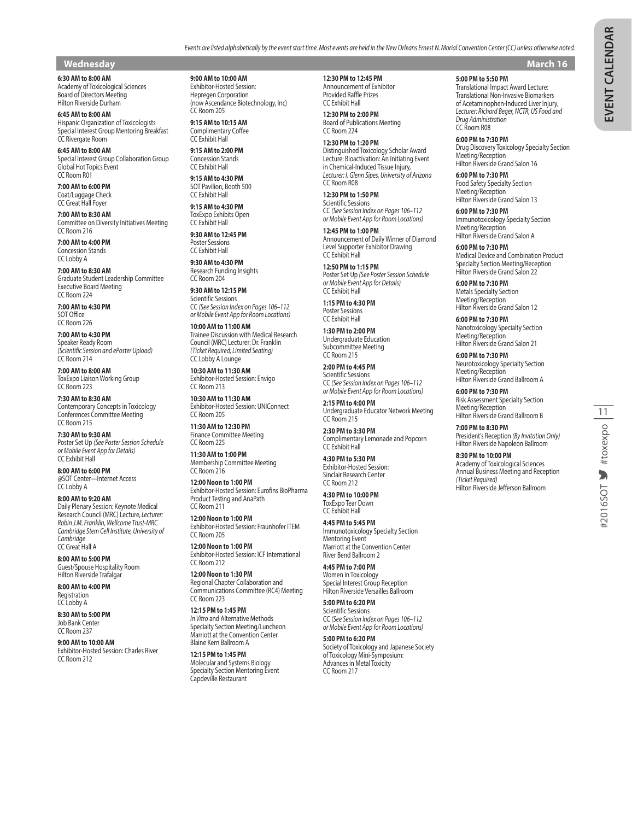# **Wednesday March 16**

**6:30 AM to 8:00 AM** Academy of Toxicological Sciences

Board of Directors Meeting Hilton Riverside Durham **6:45 AM to 8:00 AM**

Hispanic Organization of Toxicologists Special Interest Group Mentoring Breakfast CC Rivergate Room

**6:45 AM to 8:00 AM** Special Interest Group Collaboration Group Global Hot Topics Event CC Room R01

**7:00 AM to 6:00 PM** Coat/Luggage Check CC Great Hall Foyer

**7:00 AM to 8:30 AM** Committee on Diversity Initiatives Meeting CC Room 216

**7:00 AM to 4:00 PM** Concession Stands CC Lobby A

**7:00 AM to 8:30 AM** Graduate Student Leadership Committee Executive Board Meeting CC Room 224

**7:00 AM to 4:30 PM** SOT Office CC Room 226

**7:00 AM to 4:30 PM** Speaker Ready Room *(Scientific Session and ePoster Upload)* CC Room 214

**7:00 AM to 8:00 AM** ToxExpo Liaison Working Group CC Room 223

**7:30 AM to 8:30 AM** Contemporary Concepts in Toxicology Conferences Committee Meeting CC Room 215

**7:30 AM to 9:30 AM** Poster Set Up *(See Poster Session Schedule or Mobile Event App for Details)* CC Exhibit Hall

**8:00 AM to 6:00 PM** @SOT Center—Internet Access CC Lobby A

**8:00 AM to 9:20 AM** Daily Plenary Session: Keynote Medical Research Council (MRC) Lecture, *Lecturer: Robin J.M. Franklin, Wellcome Trust-MRC Cambridge Stem Cell Institute, University of Cambridge* CC Great Hall A

**8:00 AM to 5:00 PM** Guest/Spouse Hospitality Room Hilton Riverside Trafalgar

**8:00 AM to 4:00 PM** Registration CC Lobby A

**8:30 AM to 5:00 PM** Job Bank Center CC Room 237

**9:00 AM to 10:00 AM** Exhibitor-Hosted Session: Charles River CC Room 212

**9:00 AM to 10:00 AM** Exhibitor-Hosted Session:

Hepregen Corporation (now Ascendance Biotechnology, Inc) CC Room 205

**9:15 AM to 10:15 AM** Complimentary Coffee CC Exhibit Hall

**9:15 AM to 2:00 PM** Concession Stands CC Exhibit Hall

**9:15 AM to 4:30 PM** SOT Pavilion, Booth 500 CC Exhibit Hall

**9:15 AM to 4:30 PM** ToxExpo Exhibits Open CC Exhibit Hall

**9:30 AM to 12:45 PM** Poster Sessions CC Exhibit Hall

**9:30 AM to 4:30 PM** Research Funding Insights CC Room 204

**9:30 AM to 12:15 PM** Scientific Sessions CC *(See Session Index on Pages 106–112 or Mobile Event App for Room Locations)*

**10:00 AM to 11:00 AM** Trainee Discussion with Medical Research Council (MRC) Lecturer: Dr. Franklin *(Ticket Required; Limited Seating)* CC Lobby A Lounge

**10:30 AM to 11:30 AM** Exhibitor-Hosted Session: Envigo CC Room 213

**10:30 AM to 11:30 AM** Exhibitor-Hosted Session: UNIConnect CC Room 205

**11:30 AM to 12:30 PM** Finance Committee Meeting CC Room 225

**11:30 AM to 1:00 PM** Membership Committee Meeting CC Room 216

**12:00 Noon to 1:00 PM** Exhibitor-Hosted Session: Eurofins BioPharma Product Testing and AnaPath CC Room 211

**12:00 Noon to 1:00 PM** Exhibitor-Hosted Session: Fraunhofer ITEM CC Room 205

**12:00 Noon to 1:00 PM** Exhibitor-Hosted Session: ICF International CC Room 212

**12:00 Noon to 1:30 PM** Regional Chapter Collaboration and Communications Committee (RC4) Meeting CC Room 223

**12:15 PM to 1:45 PM** *In Vitro* and Alternative Methods Specialty Section Meeting/Luncheon Marriott at the Convention Center Blaine Kern Ballroom A

**12:15 PM to 1:45 PM** Molecular and Systems Biology Specialty Section Mentoring Event Capdeville Restaurant

**12:30 PM to 12:45 PM**

Announcement of Exhibitor Provided Raffle Prizes CC Exhibit Hall

**12:30 PM to 2:00 PM** Board of Publications Meeting CC Room 224

**12:30 PM to 1:20 PM** Distinguished Toxicology Scholar Award Lecture: Bioactivation: An Initiating Event in Chemical-Induced Tissue Injury, *Lecturer: I. Glenn Sipes, University of Arizona* CC Room R08

**12:30 PM to 1:50 PM** Scientific Sessions CC *(See Session Index on Pages 106–112 or Mobile Event App for Room Locations)*

**12:45 PM to 1:00 PM** Announcement of Daily Winner of Diamond Level Supporter Exhibitor Drawing CC Exhibit Hall

**12:50 PM to 1:15 PM** Poster Set Up *(See Poster Session Schedule or Mobile Event App for Details)* CC Exhibit Hall

**1:15 PM to 4:30 PM** Poster Sessions CC Exhibit Hall

**1:30 PM to 2:00 PM** Undergraduate Education Subcommittee Meeting CC Room 215

**2:00 PM to 4:45 PM** Scientific Sessions CC *(See Session Index on Pages 106–112 or Mobile Event App for Room Locations)*

**2:15 PM to 4:00 PM** Undergraduate Educator Network Meeting CC Room 215

**2:30 PM to 3:30 PM** Complimentary Lemonade and Popcorn CC Exhibit Hall

**4:30 PM to 5:30 PM** Exhibitor-Hosted Session: Sinclair Research Center CC Room 212

**4:30 PM to 10:00 PM** ToxExpo Tear Down CC Exhibit Hall

**4:45 PM to 5:45 PM** Immunotoxicology Specialty Section Mentoring Event Marriott at the Convention Center River Bend Ballroom 2

**4:45 PM to 7:00 PM** Women in Toxicology Special Interest Group Reception Hilton Riverside Versailles Ballroom

**5:00 PM to 6:20 PM** Scientific Sessions CC *(See Session Index on Pages 106–112 or Mobile Event App for Room Locations)*

**5:00 PM to 6:20 PM** Society of Toxicology and Japanese Society of Toxicology Mini-Symposium: Advances in Metal Toxicity CC Room 217

Translational Impact Award Lecture: Translational Non-Invasive Biomarkers of Acetaminophen-Induced Liver Injury, *Lecturer: Richard Beger, NCTR, US Food and Drug Administration* CC Room R08

**6:00 PM to 7:30 PM** Drug Discovery Toxicology Specialty Section Meeting/Reception Hilton Riverside Grand Salon 16

**6:00 PM to 7:30 PM** Food Safety Specialty Section Meeting/Reception Hilton Riverside Grand Salon 13

**6:00 PM to 7:30 PM** Immunotoxicology Specialty Section Meeting/Reception Hilton Riverside Grand Salon A

**6:00 PM to 7:30 PM** Medical Device and Combination Product Specialty Section Meeting/Reception Hilton Riverside Grand Salon 22

**6:00 PM to 7:30 PM** Metals Specialty Section Meeting/Reception Hilton Riverside Grand Salon 12

**6:00 PM to 7:30 PM** Nanotoxicology Specialty Section Meeting/Reception Hilton Riverside Grand Salon 21

**6:00 PM to 7:30 PM** Neurotoxicology Specialty Section Meeting/Reception Hilton Riverside Grand Ballroom A

**6:00 PM to 7:30 PM** Risk Assessment Specialty Section Meeting/Reception Hilton Riverside Grand Ballroom B

**7:00 PM to 8:30 PM** President's Reception *(By Invitation Only)* Hilton Riverside Napoleon Ballroom

**8:30 PM to 10:00 PM** Academy of Toxicological Sciences Annual Business Meeting and Reception *(Ticket Required)* Hilton Riverside Jefferson Ballroom

*Events are listed alphabetically by the event start time. Most events are held in the New Orleans Ernest N. Morial Convention Center (CC) unless otherwise noted.*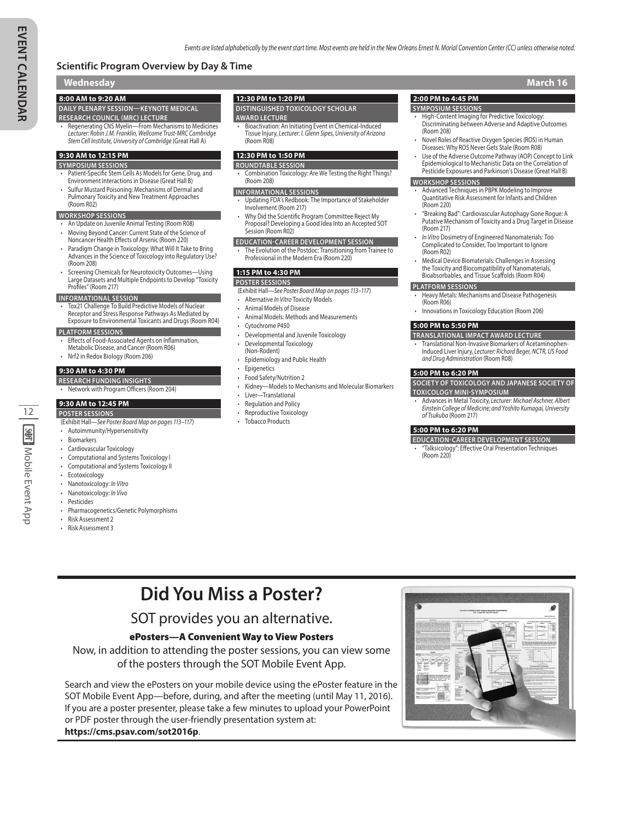# **Scientific Program Overview by Day & Time**

# **Wednesday March 16**

# **8:00 AM to 9:20 AM**

**DAILY PLENARY SESSION—KEYNOTE MEDICAL RESEARCH COUNCIL (MRC) LECTURE**

• Regenerating CNS Myelin—From Mechanisms to Medicines *Lecturer: Robin J.M. Franklin, Wellcome Trust-MRC Cambridge Stem Cell Institute, University of Cambridge* (Great Hall A)

# **9:30 AM to 12:15 PM**

- **SYMPOSIUM SESSIONS** • Patient-Specific Stem Cells As Models for Gene, Drug, and Environment Interactions in Disease (Great Hall B)
- Sulfur Mustard Poisoning: Mechanisms of Dermal and Pulmonary Toxicity and New Treatment Approaches (Room R02)

# **WORKSHOP SESSIONS**

- An Update on Juvenile Animal Testing (Room R08)
- Moving Beyond Cancer: Current State of the Science of
- Noncancer Health Effects of Arsenic (Room 220)
- Paradigm Change in Toxicology: What Will It Take to Bring Advances in the Science of Toxicology into Regulatory Use? (Room 208)
- Screening Chemicals for Neurotoxicity Outcomes—Using Large Datasets and Multiple Endpoints to Develop "Toxicity Profiles" (Room 217)

### **INFORMATIONAL SESSION**

• Tox21 Challenge To Build Predictive Models of Nuclear Receptor and Stress Response Pathways As Mediated by Exposure to Environmental Toxicants and Drugs (Room R04)

### **PLATFORM SESSIONS**

- Effects of Food-Associated Agents on Inflammation,
- Metabolic Disease, and Cancer (Room R06)
- Nrf2 in Redox Biology (Room 206)

### **9:30 AM to 4:30 PM**

- **RESEARCH FUNDING INSIGHTS**
- Network with Program Officers (Room 204)

### **9:30 AM to 12:45 PM**

12

**SMT**: Mobile Event App

- **POSTER SESSIONS**
- (Exhibit Hall—*See Poster Board Map on pages 113–117*) • Autoimmunity/Hypersensitivity
- **Biomarkers**
- Cardiovascular Toxicology
- 
- Computational and Systems Toxicology I • Computational and Systems Toxicology II
- Ecotoxicology
- Nanotoxicology: *In Vitro*
- 
- Nanotoxicology: *In Vivo*
- Pesticides
- Pharmacogenetics/Genetic Polymorphisms
- Risk Assessment 2
- Risk Assessment 3

### **12:30 PM to 1:20 PM**

**DISTINGUISHED TOXICOLOGY SCHOLAR** 

### **AWARD LECTURE**

*•* Bioactivation: An Initiating Event in Chemical-Induced Tissue Injury, *Lecturer: I. Glenn Sipes, University of Arizona* (Room R08)

### **12:30 PM to 1:50 PM**

- **ROUNDTABLE SESSION** • Combination Toxicology: Are We Testing the Right Things? (Room 208)
- **INFORMATIONAL SESSIONS**
- Updating FDA's Redbook: The Importance of Stakeholder Involvement (Room 217)
- Why Did the Scientific Program Committee Reject My Proposal? Developing a Good Idea Into an Accepted SOT Session (Room R02)
- **EDUCATION-CAREER DEVELOPMENT SESSION**
- The Evolution of the Postdoc: Transitioning from Trainee to Professional in the Modern Era (Room 220)

# **1:15 PM to 4:30 PM**

- **POSTER SESSIONS**
- (Exhibit Hall—*See Poster Board Map on pages 113–117*)
- Alternative *In Vitro* Toxicity Models
- Animal Models of Disease
- Animal Models: Methods and Measurements
- Cytochrome P450
- Developmental and Juvenile Toxicology
- Developmental Toxicology (Non-Rodent)
- Epidemiology and Public Health
- 
- 
- Kidney—Models to Mechanisms and Molecular Biomarkers
- Liver—Translational
- Regulation and Policy
- Reproductive Toxicology
- **Tobacco Products**

## **2:00 PM to 4:45 PM**

### **SYMPOSIUM SESSIONS**

- High-Content Imaging for Predictive Toxicology: Discriminating between Adverse and Adaptive Outcomes (Room 208)
- Novel Roles of Reactive Oxygen Species (ROS) in Human Diseases: Why ROS Never Gets Stale (Room R08)
- Use of the Adverse Outcome Pathway (AOP) Concept to Link Epidemiological to Mechanistic Data on the Correlation of Pesticide Exposures and Parkinson's Disease (Great Hall B)

# **WORKSHOP SESSIONS**

- Advanced Techniques in PBPK Modeling to Improve Quantitative Risk Assessment for Infants and Children (Room 220)
- "Breaking Bad": Cardiovascular Autophagy Gone Rogue: A Putative Mechanism of Toxicity and a Drug Target in Disease (Room 217)
- *In Vitro* Dosimetry of Engineered Nanomaterials: Too Complicated to Consider, Too Important to Ignore (Room R02)
- Medical Device Biomaterials: Challenges in Assessing the Toxicity and Biocompatibility of Nanomaterials, Bioabsorbables, and Tissue Scaffolds (Room R04)

# **PLATFORM SESSIONS**

- Heavy Metals: Mechanisms and Disease Pathogenesis (Room R06)
- Innovations in Toxicology Education (Room 206)

### **5:00 PM to 5:50 PM**

- **TRANSLATIONAL IMPACT AWARD LECTURE**
- **Translational Non-Invasive Biomarkers of Acetaminophen** Induced Liver Injury, *Lecturer: Richard Beger, NCTR, US Food and Drug Administration* (Room R08)

### **5:00 PM to 6:20 PM**

**SOCIETY OF TOXICOLOGY AND JAPANESE SOCIETY OF** 

- **TOXICOLOGY MINI-SYMPOSIUM** • Advances in Metal Toxicity, *Lecturer: Michael Aschner, Albert*
- *Einstein College of Medicine; and Yoshito Kumagai, University of Tsukuba* (Room 217)

# **5:00 PM to 6:20 PM**

**EDUCATION-CAREER DEVELOPMENT SESSION** • "Talksicology": Effective Oral Presentation Techniques (Room 220)

**Did You Miss a Poster?**

# SOT provides you an alternative.

# ePosters—A Convenient Way to View Posters

# Now, in addition to attending the poster sessions, you can view some of the posters through the SOT Mobile Event App.

Search and view the ePosters on your mobile device using the ePoster feature in the SOT Mobile Event App—before, during, and after the meeting (until May 11, 2016). If you are a poster presenter, please take a few minutes to upload your PowerPoint or PDF poster through the user-friendly presentation system at: **https://cms.psav.com/sot2016p**.



- **Epigenetics** 
	- Food Safety/Nutrition 2
		-